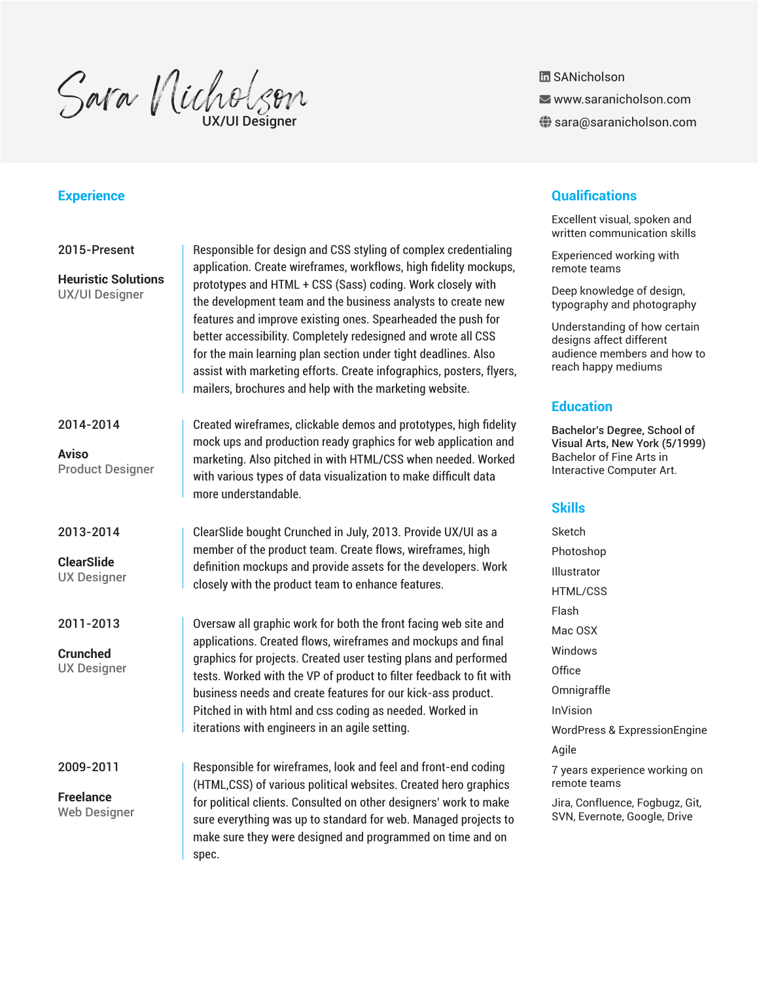Sara Nicholson

**品 SANicholson** 

www.saranicholson.com

 $\bigoplus$  sara@saranicholson.com

### 2015-Present

**Heuristic Solutions** UX/UI Designer

#### 2014-2014

**Aviso** Product Designer

#### 2013-2014

**ClearSlide** UX Designer

#### 2011-2013

**Crunched** UX Designer

2009-2011

**Freelance** Web Designer

Responsible for design and CSS styling of complex credentialing application. Create wireframes, workflows, high fidelity mockups, prototypes and HTML + CSS (Sass) coding. Work closely with the development team and the business analysts to create new features and improve existing ones. Spearheaded the push for better accessibility. Completely redesigned and wrote all CSS for the main learning plan section under tight deadlines. Also assist with marketing efforts. Create infographics, posters, flyers, mailers, brochures and help with the marketing website.

Created wireframes, clickable demos and prototypes, high fidelity mock ups and production ready graphics for web application and marketing. Also pitched in with HTML/CSS when needed. Worked with various types of data visualization to make difficult data more understandable.

ClearSlide bought Crunched in July, 2013. Provide UX/UI as a member of the product team. Create flows, wireframes, high definition mockups and provide assets for the developers. Work closely with the product team to enhance features.

Oversaw all graphic work for both the front facing web site and applications. Created flows, wireframes and mockups and final graphics for projects. Created user testing plans and performed tests. Worked with the VP of product to filter feedback to fit with business needs and create features for our kick-ass product. Pitched in with html and css coding as needed. Worked in iterations with engineers in an agile setting.

Responsible for wireframes, look and feel and front-end coding (HTML,CSS) of various political websites. Created hero graphics for political clients. Consulted on other designers' work to make sure everything was up to standard for web. Managed projects to make sure they were designed and programmed on time and on spec.

# **Experience Qualifications**

Excellent visual, spoken and written communication skills

Experienced working with remote teams

Deep knowledge of design, typography and photography

Understanding of how certain designs affect different audience members and how to reach happy mediums

# **Education**

Bachelor's Degree, School of Visual Arts, New York (5/1999) Bachelor of Fine Arts in Interactive Computer Art.

#### **Skills**

Sketch Photoshop Illustrator HTML/CSS Flash Mac OSX Windows **Office** Omnigraffle InVision WordPress & ExpressionEngine Agile 7 years experience working on remote teams Jira, Confluence, Fogbugz, Git,

SVN, Evernote, Google, Drive